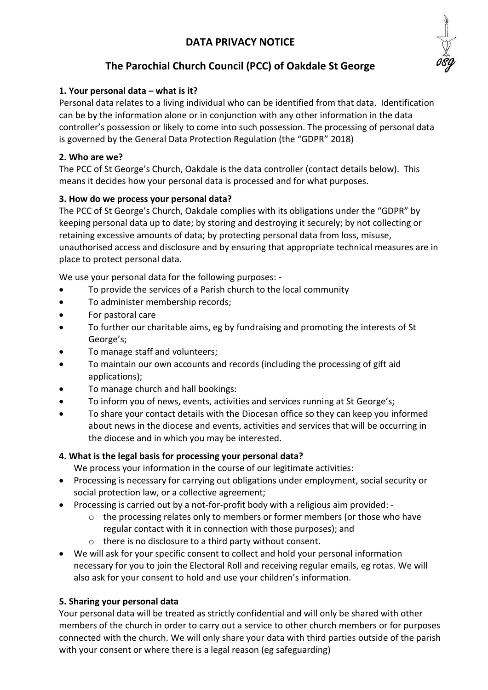# **DATA PRIVACY NOTICE**



# **The Parochial Church Council (PCC) of Oakdale St George**

## **1. Your personal data – what is it?**

Personal data relates to a living individual who can be identified from that data. Identification can be by the information alone or in conjunction with any other information in the data controller's possession or likely to come into such possession. The processing of personal data is governed by the General Data Protection Regulation (the "GDPR" 2018)

## **2. Who are we?**

The PCC of St George's Church, Oakdale is the data controller (contact details below). This means it decides how your personal data is processed and for what purposes.

## **3. How do we process your personal data?**

The PCC of St George's Church, Oakdale complies with its obligations under the "GDPR" by keeping personal data up to date; by storing and destroying it securely; by not collecting or retaining excessive amounts of data; by protecting personal data from loss, misuse, unauthorised access and disclosure and by ensuring that appropriate technical measures are in place to protect personal data.

We use your personal data for the following purposes: -

- To provide the services of a Parish church to the local community
- To administer membership records;
- For pastoral care
- To further our charitable aims, eg by fundraising and promoting the interests of St George's;
- To manage staff and volunteers;
- To maintain our own accounts and records (including the processing of gift aid applications);
- To manage church and hall bookings:
- To inform you of news, events, activities and services running at St George's;
- To share your contact details with the Diocesan office so they can keep you informed about news in the diocese and events, activities and services that will be occurring in the diocese and in which you may be interested.

#### **4. What is the legal basis for processing your personal data?**

We process your information in the course of our legitimate activities:

- Processing is necessary for carrying out obligations under employment, social security or social protection law, or a collective agreement;
- Processing is carried out by a not-for-profit body with a religious aim provided:
	- $\circ$  the processing relates only to members or former members (or those who have regular contact with it in connection with those purposes); and
	- o there is no disclosure to a third party without consent.
- We will ask for your specific consent to collect and hold your personal information necessary for you to join the Electoral Roll and receiving regular emails, eg rotas. We will also ask for your consent to hold and use your children's information.

#### **5. Sharing your personal data**

Your personal data will be treated as strictly confidential and will only be shared with other members of the church in order to carry out a service to other church members or for purposes connected with the church. We will only share your data with third parties outside of the parish with your consent or where there is a legal reason (eg safeguarding)